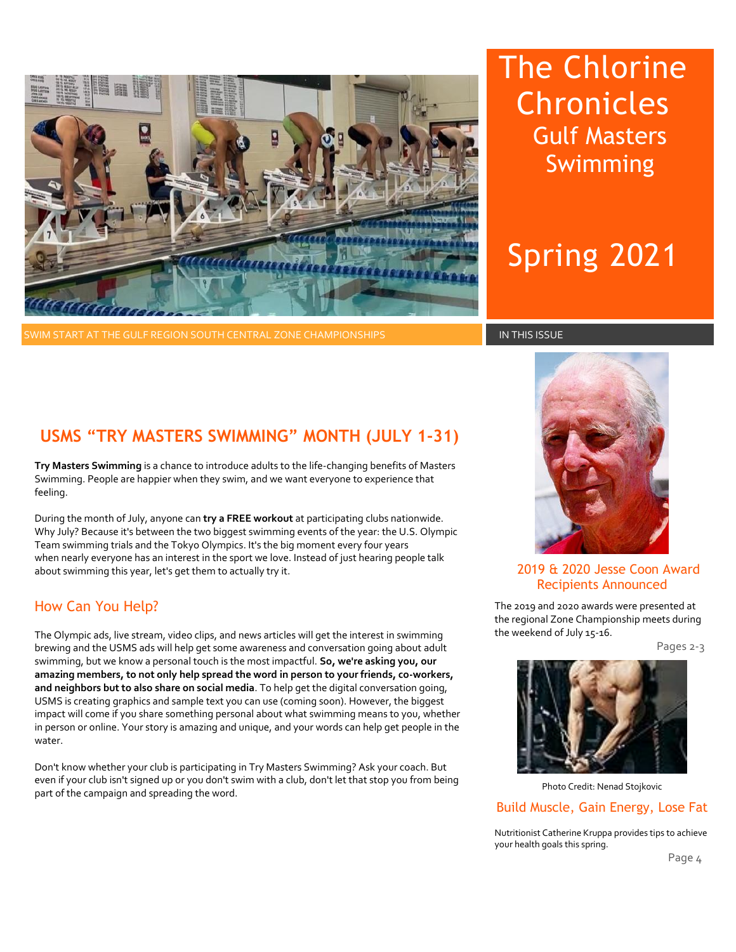

WIM START AT THE GULF REGION SOUTH CENTRAL ZONE CHAMPIONSHIPS **IN THIS ISSUE** IN THIS ISSUE

The Chlorine Chronicles Gulf Masters Swimming

# Spring 2021

### **USMS "TRY MASTERS SWIMMING" MONTH (JULY 1-31)**

**Try Masters Swimming** is a chance to introduce adults to the life-changing benefits of Masters Swimming. People are happier when they swim, and we want everyone to experience that feeling.

During the month of July, anyone can **try a FREE workout** at participating clubs nationwide. Why July? Because it's between the two biggest swimming events of the year: the U.S. Olympic Team swimming trials and the Tokyo Olympics. It's the big moment every four years when nearly everyone has an interest in the sport we love. Instead of just hearing people talk about swimming this year, let's get them to actually try it.

### How Can You Help?

The Olympic ads, live stream, video clips, and news articles will get the interest in swimming brewing and the USMS ads will help get some awareness and conversation going about adult swimming, but we know a personal touch is the most impactful. **So, we're asking you, our amazing members, to not only help spread the word in person to your friends, co-workers, and neighbors but to also share on social media**. To help get the digital conversation going, USMS is creating graphics and sample text you can use (coming soon). However, the biggest impact will come if you share something personal about what swimming means to you, whether in person or online. Your story is amazing and unique, and your words can help get people in the water.

Don't know whether your club is participating in Try Masters Swimming? Ask your coach. But even if your club isn't signed up or you don't swim with a club, don't let that stop you from being part of the campaign and spreading the word.



### 2019 & 2020 Jesse Coon Award Recipients Announced

The 2019 and 2020 awards were presented at the regional Zone Championship meets during the weekend of July 15-16.

Pages 2-3



Photo Credit: Nenad Stojkovic

### Build Muscle, Gain Energy, Lose Fat

Nutritionist Catherine Kruppa provides tips to achieve your health goals this spring.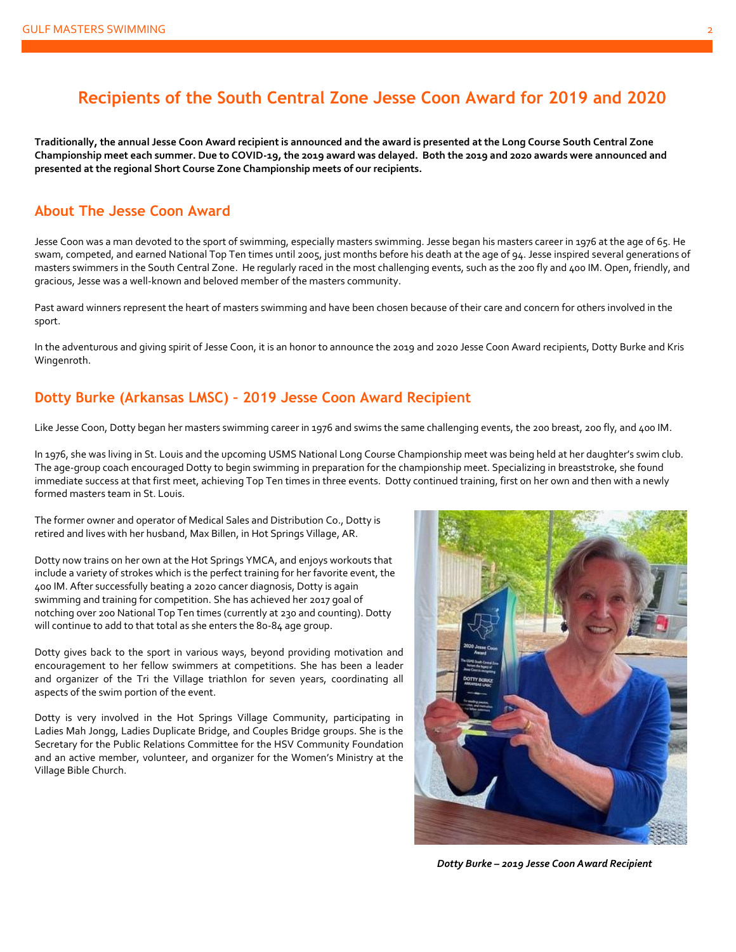### **Recipients of the South Central Zone Jesse Coon Award for 2019 and 2020**

**Traditionally, the annual Jesse Coon Award recipient is announced and the award is presented at the Long Course South Central Zone Championship meet each summer. Due to COVID-19, the 2019 award was delayed. Both the 2019 and 2020 awards were announced and presented at the regional Short Course Zone Championship meets of our recipients.**

### **About The Jesse Coon Award**

Jesse Coon was a man devoted to the sport of swimming, especially masters swimming. Jesse began his masters career in 1976 at the age of 65. He swam, competed, and earned National Top Ten times until 2005, just months before his death at the age of 94. Jesse inspired several generations of masters swimmers in the South Central Zone. He regularly raced in the most challenging events, such as the 200 fly and 400 IM. Open, friendly, and gracious, Jesse was a well-known and beloved member of the masters community.

Past award winners represent the heart of masters swimming and have been chosen because of their care and concern for others involved in the sport.

In the adventurous and giving spirit of Jesse Coon, it is an honor to announce the 2019 and 2020 Jesse Coon Award recipients, Dotty Burke and Kris Wingenroth.

### **Dotty Burke (Arkansas LMSC) – 2019 Jesse Coon Award Recipient**

Like Jesse Coon, Dotty began her masters swimming career in 1976 and swims the same challenging events, the 200 breast, 200 fly, and 400 IM.

In 1976, she was living in St. Louis and the upcoming USMS National Long Course Championship meet was being held at her daughter's swim club. The age-group coach encouraged Dotty to begin swimming in preparation for the championship meet. Specializing in breaststroke, she found immediate success at that first meet, achieving Top Ten times in three events. Dotty continued training, first on her own and then with a newly formed masters team in St. Louis.

The former owner and operator of Medical Sales and Distribution Co., Dotty is retired and lives with her husband, Max Billen, in Hot Springs Village, AR.

Dotty now trains on her own at the Hot Springs YMCA, and enjoys workouts that include a variety of strokes which is the perfect training for her favorite event, the 400 IM. After successfully beating a 2020 cancer diagnosis, Dotty is again swimming and training for competition. She has achieved her 2017 goal of notching over 200 National Top Ten times (currently at 230 and counting). Dotty will continue to add to that total as she enters the 80-84 age group.

Dotty gives back to the sport in various ways, beyond providing motivation and encouragement to her fellow swimmers at competitions. She has been a leader and organizer of the Tri the Village triathlon for seven years, coordinating all aspects of the swim portion of the event.

Dotty is very involved in the Hot Springs Village Community, participating in Ladies Mah Jongg, Ladies Duplicate Bridge, and Couples Bridge groups. She is the Secretary for the Public Relations Committee for the HSV Community Foundation and an active member, volunteer, and organizer for the Women's Ministry at the Village Bible Church.



*Dotty Burke – 2019 Jesse Coon Award Recipient*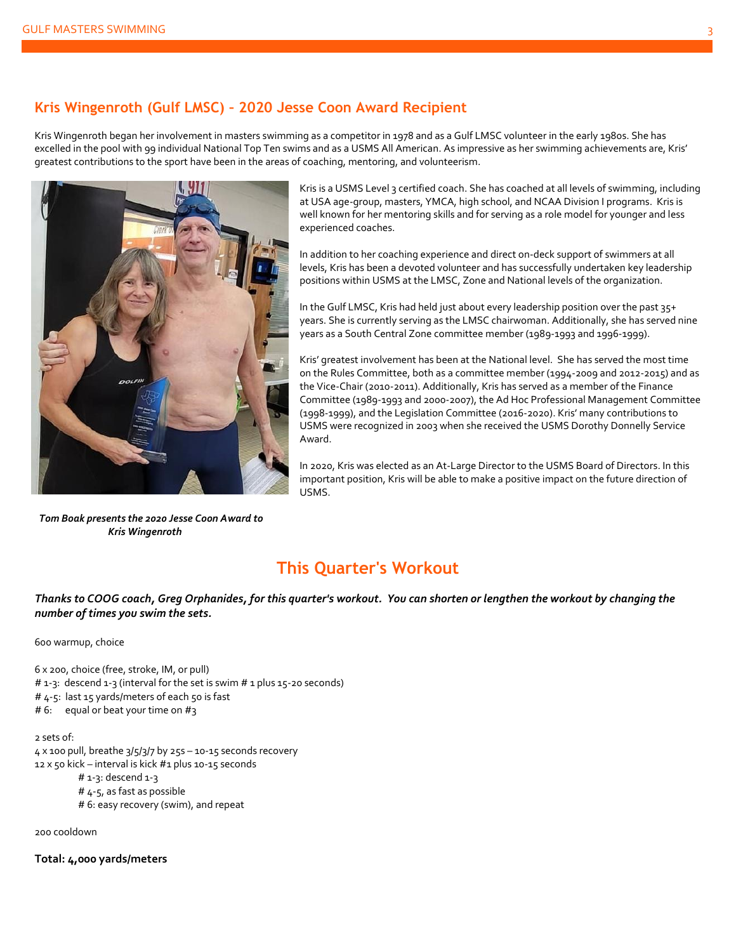### **Kris Wingenroth (Gulf LMSC) – 2020 Jesse Coon Award Recipient**

Kris Wingenroth began her involvement in masters swimming as a competitor in 1978 and as a Gulf LMSC volunteer in the early 1980s. She has excelled in the pool with 99 individual National Top Ten swims and as a USMS All American. As impressive as her swimming achievements are, Kris' greatest contributions to the sport have been in the areas of coaching, mentoring, and volunteerism.



 *Tom Boak presents the 2020 Jesse Coon Award to Kris Wingenroth*

Kris is a USMS Level 3 certified coach. She has coached at all levels of swimming, including at USA age-group, masters, YMCA, high school, and NCAA Division I programs. Kris is well known for her mentoring skills and for serving as a role model for younger and less experienced coaches.

In addition to her coaching experience and direct on-deck support of swimmers at all levels, Kris has been a devoted volunteer and has successfully undertaken key leadership positions within USMS at the LMSC, Zone and National levels of the organization.

In the Gulf LMSC, Kris had held just about every leadership position over the past 35+ years. She is currently serving as the LMSC chairwoman. Additionally, she has served nine years as a South Central Zone committee member (1989-1993 and 1996-1999).

Kris' greatest involvement has been at the National level. She has served the most time on the Rules Committee, both as a committee member (1994-2009 and 2012-2015) and as the Vice-Chair (2010-2011). Additionally, Kris has served as a member of the Finance Committee (1989-1993 and 2000-2007), the Ad Hoc Professional Management Committee (1998-1999), and the Legislation Committee (2016-2020). Kris' many contributions to USMS were recognized in 2003 when she received the USMS Dorothy Donnelly Service Award.

In 2020, Kris was elected as an At-Large Director to the USMS Board of Directors. In this important position, Kris will be able to make a positive impact on the future direction of USMS.

### **This Quarter's Workout**

*Thanks to COOG coach, Greg Orphanides, for this quarter's workout. You can shorten or lengthen the workout by changing the number of times you swim the sets.* 

600 warmup, choice

6 x 200, choice (free, stroke, IM, or pull) # 1-3: descend 1-3 (interval for the set is swim # 1 plus 15-20 seconds) # 4-5: last 15 yards/meters of each 50 is fast # 6: equal or beat your time on #3 2 sets of:  $4 \times 100$  pull, breathe  $3/5/3/7$  by  $255 - 10 - 15$  seconds recovery 12 x 50 kick – interval is kick #1 plus 10-15 seconds  $# 1-3:$  descend  $1-3$ 

# 4-5, as fast as possible

# 6: easy recovery (swim), and repeat

200 cooldown

**Total: 4,000 yards/meters**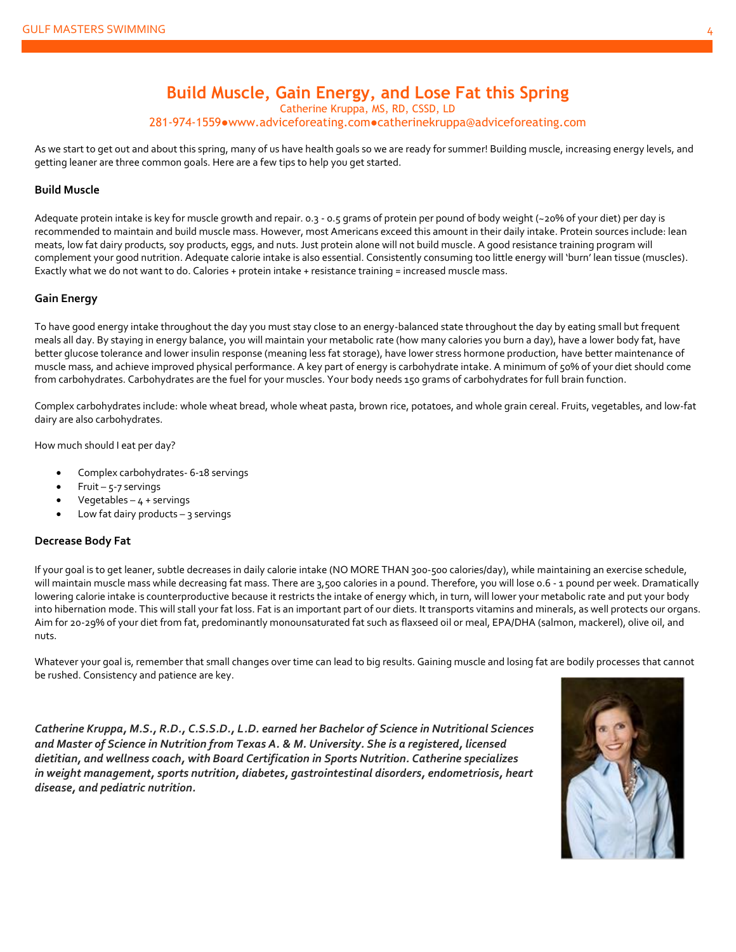### **Build Muscle, Gain Energy, and Lose Fat this Spring** Catherine Kruppa, MS, RD, CSSD, LD

281-974-[1559●www.adviceforeating.com●cat](mailto:281-974-1559●www.adviceforeating.com●catherinekruppa@adviceforeating.com)herinekruppa@adviceforeating.com

As we start to get out and about this spring, many of us have health goals so we are ready for summer! Building muscle, increasing energy levels, and getting leaner are three common goals. Here are a few tips to help you get started.

#### **Build Muscle**

Adequate protein intake is key for muscle growth and repair. 0.3 - 0.5 grams of protein per pound of body weight (~20% of your diet) per day is recommended to maintain and build muscle mass. However, most Americans exceed this amount in their daily intake. Protein sources include: lean meats, low fat dairy products, soy products, eggs, and nuts. Just protein alone will not build muscle. A good resistance training program will complement your good nutrition. Adequate calorie intake is also essential. Consistently consuming too little energy will 'burn' lean tissue (muscles). Exactly what we do not want to do. Calories + protein intake + resistance training = increased muscle mass.

#### **Gain Energy**

To have good energy intake throughout the day you must stay close to an energy-balanced state throughout the day by eating small but frequent meals all day. By staying in energy balance, you will maintain your metabolic rate (how many calories you burn a day), have a lower body fat, have better glucose tolerance and lower insulin response (meaning less fat storage), have lower stress hormone production, have better maintenance of muscle mass, and achieve improved physical performance. A key part of energy is carbohydrate intake. A minimum of 50% of your diet should come from carbohydrates. Carbohydrates are the fuel for your muscles. Your body needs 150 grams of carbohydrates for full brain function.

Complex carbohydrates include: whole wheat bread, whole wheat pasta, brown rice, potatoes, and whole grain cereal. Fruits, vegetables, and low-fat dairy are also carbohydrates.

How much should I eat per day?

- Complex carbohydrates- 6-18 servings
- Fruit  $5-7$  servings
- Vegetables  $-4 +$  servings
- Low fat dairy products  $-$  3 servings

#### **Decrease Body Fat**

If your goal is to get leaner, subtle decreases in daily calorie intake (NO MORE THAN 300-500 calories/day), while maintaining an exercise schedule, will maintain muscle mass while decreasing fat mass. There are 3,500 calories in a pound. Therefore, you will lose 0.6 - 1 pound per week. Dramatically lowering calorie intake is counterproductive because it restricts the intake of energy which, in turn, will lower your metabolic rate and put your body into hibernation mode. This will stall your fat loss. Fat is an important part of our diets. It transports vitamins and minerals, as well protects our organs. Aim for 20-29% of your diet from fat, predominantly monounsaturated fat such as flaxseed oil or meal, EPA/DHA (salmon, mackerel), olive oil, and nuts.

Whatever your goal is, remember that small changes over time can lead to big results. Gaining muscle and losing fat are bodily processes that cannot be rushed. Consistency and patience are key.

*Catherine Kruppa, M.S., R.D., C.S.S.D., L.D. earned her Bachelor of Science in Nutritional Sciences and Master of Science in Nutrition from Texas A. & M. University. She is a registered, licensed dietitian, and wellness coach, with Board Certification in Sports Nutrition. Catherine specializes in weight management, sports nutrition, diabetes, gastrointestinal disorders, endometriosis, heart disease, and pediatric nutrition.*

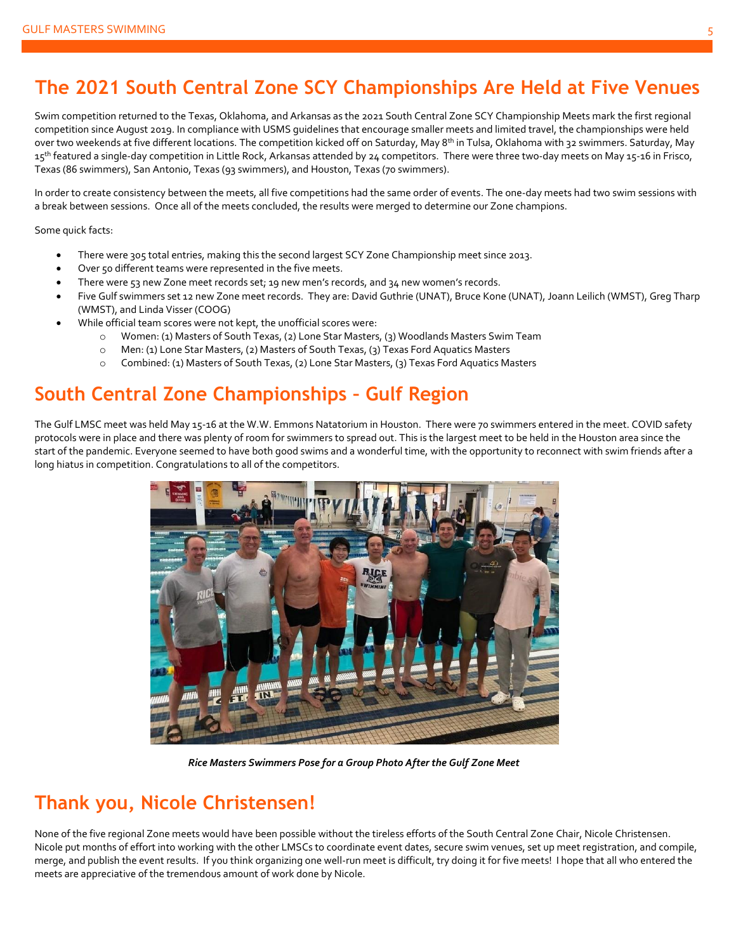## **The 2021 South Central Zone SCY Championships Are Held at Five Venues**

Swim competition returned to the Texas, Oklahoma, and Arkansas as the 2021 South Central Zone SCY Championship Meets mark the first regional competition since August 2019. In compliance with USMS guidelines that encourage smaller meets and limited travel, the championships were held over two weekends at five different locations. The competition kicked off on Saturday, May 8<sup>th</sup> in Tulsa, Oklahoma with 32 swimmers. Saturday, May 15<sup>th</sup> featured a single-day competition in Little Rock, Arkansas attended by 24 competitors. There were three two-day meets on May 15-16 in Frisco, Texas (86 swimmers), San Antonio, Texas (93 swimmers), and Houston, Texas (70 swimmers).

In order to create consistency between the meets, all five competitions had the same order of events. The one-day meets had two swim sessions with a break between sessions. Once all of the meets concluded, the results were merged to determine our Zone champions.

Some quick facts:

- There were 305 total entries, making this the second largest SCY Zone Championship meet since 2013.
- Over 50 different teams were represented in the five meets.
- There were 53 new Zone meet records set; 19 new men's records, and 34 new women's records.
- Five Gulf swimmers set 12 new Zone meet records. They are: David Guthrie (UNAT), Bruce Kone (UNAT), Joann Leilich (WMST), Greg Tharp (WMST), and Linda Visser (COOG)
- While official team scores were not kept, the unofficial scores were:
	- o Women: (1) Masters of South Texas, (2) Lone Star Masters, (3) Woodlands Masters Swim Team
	- o Men: (1) Lone Star Masters, (2) Masters of South Texas, (3) Texas Ford Aquatics Masters
	- o Combined: (1) Masters of South Texas, (2) Lone Star Masters, (3) Texas Ford Aquatics Masters

## **South Central Zone Championships – Gulf Region**

The Gulf LMSC meet was held May 15-16 at the W.W. Emmons Natatorium in Houston. There were 70 swimmers entered in the meet. COVID safety protocols were in place and there was plenty of room for swimmers to spread out. This is the largest meet to be held in the Houston area since the start of the pandemic. Everyone seemed to have both good swims and a wonderful time, with the opportunity to reconnect with swim friends after a long hiatus in competition. Congratulations to all of the competitors.



 *Rice Masters Swimmers Pose for a Group Photo After the Gulf Zone Meet*

### **Thank you, Nicole Christensen!**

None of the five regional Zone meets would have been possible without the tireless efforts of the South Central Zone Chair, Nicole Christensen. Nicole put months of effort into working with the other LMSCs to coordinate event dates, secure swim venues, set up meet registration, and compile, merge, and publish the event results. If you think organizing one well-run meet is difficult, try doing it for five meets! I hope that all who entered the meets are appreciative of the tremendous amount of work done by Nicole.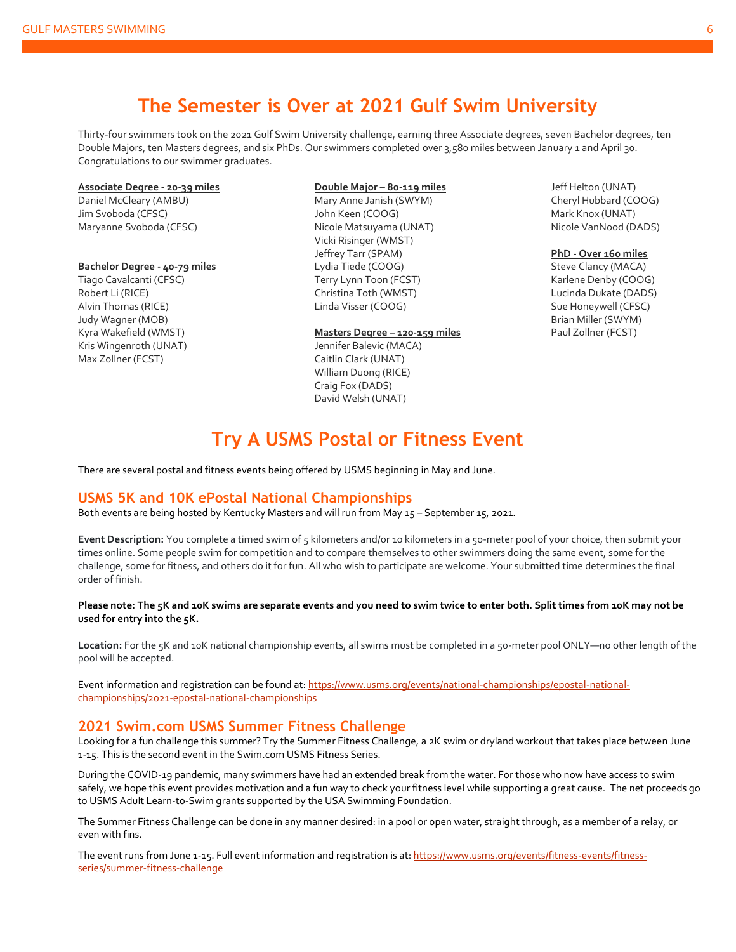### **The Semester is Over at 2021 Gulf Swim University**

Thirty-four swimmers took on the 2021 Gulf Swim University challenge, earning three Associate degrees, seven Bachelor degrees, ten Double Majors, ten Masters degrees, and six PhDs. Our swimmers completed over 3,580 miles between January 1 and April 30. Congratulations to our swimmer graduates.

#### **Associate Degree - 20-39 miles**

Daniel McCleary (AMBU) Jim Svoboda (CFSC) Maryanne Svoboda (CFSC)

#### **Bachelor Degree - 40-79 miles**

Tiago Cavalcanti (CFSC) Robert Li (RICE) Alvin Thomas (RICE) Judy Wagner (MOB) Kyra Wakefield (WMST) Kris Wingenroth (UNAT) Max Zollner (FCST)

#### **Double Major – 80-119 miles** Mary Anne Janish (SWYM) John Keen (COOG) Nicole Matsuyama (UNAT) Vicki Risinger (WMST) Jeffrey Tarr (SPAM) Lydia Tiede (COOG) Terry Lynn Toon (FCST) Christina Toth (WMST) Linda Visser (COOG)

#### **Masters Degree – 120-159 miles**

Jennifer Balevic (MACA) Caitlin Clark (UNAT) William Duong (RICE) Craig Fox (DADS) David Welsh (UNAT)

Jeff Helton (UNAT) Cheryl Hubbard (COOG) Mark Knox (UNAT) Nicole VanNood (DADS)

**PhD - Over 160 miles** Steve Clancy (MACA) Karlene Denby (COOG) Lucinda Dukate (DADS) Sue Honeywell (CFSC) Brian Miller (SWYM) Paul Zollner (FCST)

### **Try A USMS Postal or Fitness Event**

There are several postal and fitness events being offered by USMS beginning in May and June.

#### **USMS 5K and 10K ePostal National Championships**

Both events are being hosted by Kentucky Masters and will run from May 15 – September 15, 2021.

**Event Description:** You complete a timed swim of 5 kilometers and/or 10 kilometers in a 50-meter pool of your choice, then submit your times online. Some people swim for competition and to compare themselves to other swimmers doing the same event, some for the challenge, some for fitness, and others do it for fun. All who wish to participate are welcome. Your submitted time determines the final order of finish.

#### **Please note: The 5K and 10K swims are separate events and you need to swim twice to enter both. Split times from 10K may not be used for entry into the 5K.**

**Location:** For the 5K and 10K national championship events, all swims must be completed in a 50-meter pool ONLY—no other length of the pool will be accepted.

Event information and registration can be found at[: https://www.usms.org/events/national-championships/epostal-national](https://www.usms.org/events/national-championships/epostal-national-championships/2021-epostal-national-championships)[championships/2021-epostal-national-championships](https://www.usms.org/events/national-championships/epostal-national-championships/2021-epostal-national-championships)

### **2021 Swim.com USMS Summer Fitness Challenge**

Looking for a fun challenge this summer? Try the Summer Fitness Challenge, a 2K swim or dryland workout that takes place between June 1-15. This is the second event in the Swim.com USMS Fitness Series.

During the COVID-19 pandemic, many swimmers have had an extended break from the water. For those who now have access to swim safely, we hope this event provides motivation and a fun way to check your fitness level while supporting a great cause. The net proceeds go to USMS Adult Learn-to-Swim grants supported by the USA Swimming Foundation.

The Summer Fitness Challenge can be done in any manner desired: in a pool or open water, straight through, as a member of a relay, or even with fins.

The event runs from June 1-15. Full event information and registration is at[: https://www.usms.org/events/fitness-events/fitness](https://www.usms.org/events/fitness-events/fitness-series/summer-fitness-challenge)[series/summer-fitness-challenge](https://www.usms.org/events/fitness-events/fitness-series/summer-fitness-challenge)